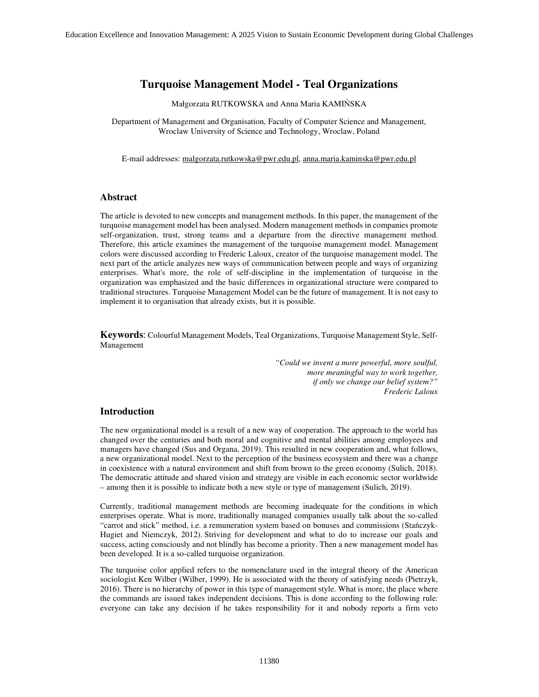# **Turquoise Management Model - Teal Organizations**

Małgorzata RUTKOWSKA and Anna Maria KAMIŃSKA

Department of Management and Organisation, Faculty of Computer Science and Management, Wroclaw University of Science and Technology, Wroclaw, Poland

E-mail addresses: malgorzata.rutkowska@pwr.edu.pl, anna.maria.kaminska@pwr.edu.pl

### **Abstract**

The article is devoted to new concepts and management methods. In this paper, the management of the turquoise management model has been analysed. Modern management methods in companies promote self-organization, trust, strong teams and a departure from the directive management method. Therefore, this article examines the management of the turquoise management model. Management colors were discussed according to Frederic Laloux, creator of the turquoise management model. The next part of the article analyzes new ways of communication between people and ways of organizing enterprises. What's more, the role of self-discipline in the implementation of turquoise in the organization was emphasized and the basic differences in organizational structure were compared to traditional structures. Turquoise Management Model can be the future of management. It is not easy to implement it to organisation that already exists, but it is possible.

**Keywords**: Colourful Management Models, Teal Organizations, Turquoise Management Style, Self-Management

> *"Could we invent a more powerful, more soulful, more meaningful way to work together, if only we change our belief system?" Frederic Laloux*

# **Introduction**

The new organizational model is a result of a new way of cooperation. The approach to the world has changed over the centuries and both moral and cognitive and mental abilities among employees and managers have changed (Sus and Organa, 2019). This resulted in new cooperation and, what follows, a new organizational model. Next to the perception of the business ecosystem and there was a change in coexistence with a natural environment and shift from brown to the green economy (Sulich, 2018). The democratic attitude and shared vision and strategy are visible in each economic sector worldwide – among then it is possible to indicate both a new style or type of management (Sulich, 2019).

Currently, traditional management methods are becoming inadequate for the conditions in which enterprises operate. What is more, traditionally managed companies usually talk about the so-called "carrot and stick" method, i.e. a remuneration system based on bonuses and commissions (Stańczyk-Hugiet and Niemczyk, 2012). Striving for development and what to do to increase our goals and success, acting consciously and not blindly has become a priority. Then a new management model has been developed. It is a so-called turquoise organization.

The turquoise color applied refers to the nomenclature used in the integral theory of the American sociologist Ken Wilber (Wilber, 1999). He is associated with the theory of satisfying needs (Pietrzyk, 2016). There is no hierarchy of power in this type of management style. What is more, the place where the commands are issued takes independent decisions. This is done according to the following rule: everyone can take any decision if he takes responsibility for it and nobody reports a firm veto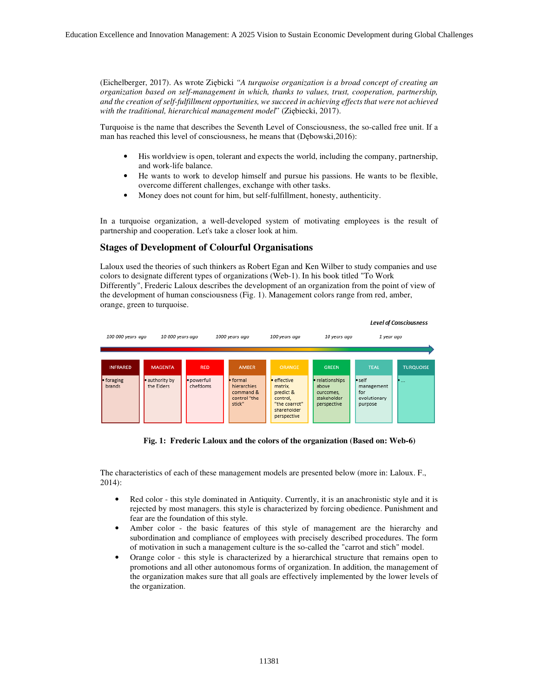(Eichelberger, 2017). As wrote Ziębicki *"A turquoise organization is a broad concept of creating an organization based on self-management in which, thanks to values, trust, cooperation, partnership, and the creation of self-fulfillment opportunities, we succeed in achieving effects that were not achieved with the traditional, hierarchical management model*" (Ziębiecki, 2017).

Turquoise is the name that describes the Seventh Level of Consciousness, the so-called free unit. If a man has reached this level of consciousness, he means that (Dębowski,2016):

- His worldview is open, tolerant and expects the world, including the company, partnership, and work-life balance.
- He wants to work to develop himself and pursue his passions. He wants to be flexible, overcome different challenges, exchange with other tasks.
- Money does not count for him, but self-fulfillment, honesty, authenticity.

In a turquoise organization, a well-developed system of motivating employees is the result of partnership and cooperation. Let's take a closer look at him.

# **Stages of Development of Colourful Organisations**

Laloux used the theories of such thinkers as Robert Egan and Ken Wilber to study companies and use colors to designate different types of organizations (Web-1). In his book titled "To Work Differently", Frederic Laloux describes the development of an organization from the point of view of the development of human consciousness (Fig. 1). Management colors range from red, amber, orange, green to turquoise.



**Fig. 1: Frederic Laloux and the colors of the organization (Based on: Web-6)** 

The characteristics of each of these management models are presented below (more in: Laloux. F., 2014):

- Red color this style dominated in Antiquity. Currently, it is an anachronistic style and it is rejected by most managers. this style is characterized by forcing obedience. Punishment and fear are the foundation of this style.
- Amber color the basic features of this style of management are the hierarchy and subordination and compliance of employees with precisely described procedures. The form of motivation in such a management culture is the so-called the "carrot and stich" model.
- Orange color this style is characterized by a hierarchical structure that remains open to promotions and all other autonomous forms of organization. In addition, the management of the organization makes sure that all goals are effectively implemented by the lower levels of the organization.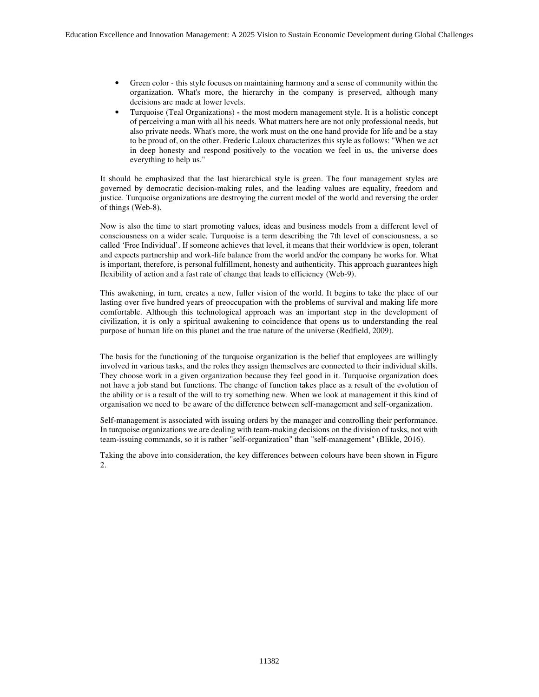- Green color this style focuses on maintaining harmony and a sense of community within the organization. What's more, the hierarchy in the company is preserved, although many decisions are made at lower levels.
- Turquoise (Teal Organizations) **-** the most modern management style. It is a holistic concept of perceiving a man with all his needs. What matters here are not only professional needs, but also private needs. What's more, the work must on the one hand provide for life and be a stay to be proud of, on the other. Frederic Laloux characterizes this style as follows: "When we act in deep honesty and respond positively to the vocation we feel in us, the universe does everything to help us."

It should be emphasized that the last hierarchical style is green. The four management styles are governed by democratic decision-making rules, and the leading values are equality, freedom and justice. Turquoise organizations are destroying the current model of the world and reversing the order of things (Web-8).

Now is also the time to start promoting values, ideas and business models from a different level of consciousness on a wider scale. Turquoise is a term describing the 7th level of consciousness, a so called 'Free Individual'. If someone achieves that level, it means that their worldview is open, tolerant and expects partnership and work-life balance from the world and/or the company he works for. What is important, therefore, is personal fulfillment, honesty and authenticity. This approach guarantees high flexibility of action and a fast rate of change that leads to efficiency (Web-9).

This awakening, in turn, creates a new, fuller vision of the world. It begins to take the place of our lasting over five hundred years of preoccupation with the problems of survival and making life more comfortable. Although this technological approach was an important step in the development of civilization, it is only a spiritual awakening to coincidence that opens us to understanding the real purpose of human life on this planet and the true nature of the universe (Redfield, 2009).

The basis for the functioning of the turquoise organization is the belief that employees are willingly involved in various tasks, and the roles they assign themselves are connected to their individual skills. They choose work in a given organization because they feel good in it. Turquoise organization does not have a job stand but functions. The change of function takes place as a result of the evolution of the ability or is a result of the will to try something new. When we look at management it this kind of organisation we need to be aware of the difference between self-management and self-organization.

Self-management is associated with issuing orders by the manager and controlling their performance. In turquoise organizations we are dealing with team-making decisions on the division of tasks, not with team-issuing commands, so it is rather "self-organization" than "self-management" (Blikle, 2016).

Taking the above into consideration, the key differences between colours have been shown in Figure 2.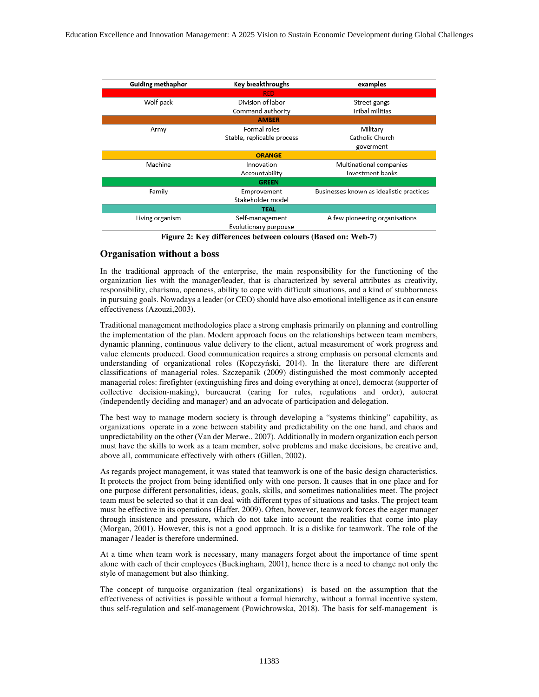| <b>Guiding methaphor</b> | Key breakthroughs          | examples                                 |
|--------------------------|----------------------------|------------------------------------------|
| RED.                     |                            |                                          |
| Wolf pack                | Division of labor          | Street gangs                             |
|                          | Command authority          | Tribal militias                          |
| <b>AMBER</b>             |                            |                                          |
| Army                     | Formal roles               | Military                                 |
|                          | Stable, replicable process | Catholic Church                          |
|                          |                            | goverment                                |
| <b>ORANGE</b>            |                            |                                          |
| Machine                  | Innovation                 | Multinational companies                  |
|                          | Accountability             | Investment banks                         |
| <b>GREEN</b>             |                            |                                          |
| Family                   | Emprovement                | Businesses known as idealistic practices |
|                          | Stakeholder model          |                                          |
| <b>TEAL</b>              |                            |                                          |
| Living organism          | Self-management            | A few pioneering organisations           |
|                          | Evolutionary purpouse      |                                          |

**Figure 2: Key differences between colours (Based on: Web-7)** 

### **Organisation without a boss**

In the traditional approach of the enterprise, the main responsibility for the functioning of the organization lies with the manager/leader, that is characterized by several attributes as creativity, responsibility, charisma, openness, ability to cope with difficult situations, and a kind of stubbornness in pursuing goals. Nowadays a leader (or CEO) should have also emotional intelligence as it can ensure effectiveness (Azouzi,2003).

Traditional management methodologies place a strong emphasis primarily on planning and controlling the implementation of the plan. Modern approach focus on the relationships between team members, dynamic planning, continuous value delivery to the client, actual measurement of work progress and value elements produced. Good communication requires a strong emphasis on personal elements and understanding of organizational roles (Kopczyński, 2014). In the literature there are different classifications of managerial roles. Szczepanik (2009) distinguished the most commonly accepted managerial roles: firefighter (extinguishing fires and doing everything at once), democrat (supporter of collective decision-making), bureaucrat (caring for rules, regulations and order), autocrat (independently deciding and manager) and an advocate of participation and delegation.

The best way to manage modern society is through developing a "systems thinking" capability, as organizations operate in a zone between stability and predictability on the one hand, and chaos and unpredictability on the other (Van der Merwe., 2007). Additionally in modern organization each person must have the skills to work as a team member, solve problems and make decisions, be creative and, above all, communicate effectively with others (Gillen, 2002).

As regards project management, it was stated that teamwork is one of the basic design characteristics. It protects the project from being identified only with one person. It causes that in one place and for one purpose different personalities, ideas, goals, skills, and sometimes nationalities meet. The project team must be selected so that it can deal with different types of situations and tasks. The project team must be effective in its operations (Haffer, 2009). Often, however, teamwork forces the eager manager through insistence and pressure, which do not take into account the realities that come into play (Morgan, 2001). However, this is not a good approach. It is a dislike for teamwork. The role of the manager / leader is therefore undermined.

At a time when team work is necessary, many managers forget about the importance of time spent alone with each of their employees (Buckingham, 2001), hence there is a need to change not only the style of management but also thinking.

The concept of turquoise organization (teal organizations) is based on the assumption that the effectiveness of activities is possible without a formal hierarchy, without a formal incentive system, thus self-regulation and self-management (Powichrowska, 2018). The basis for self-management is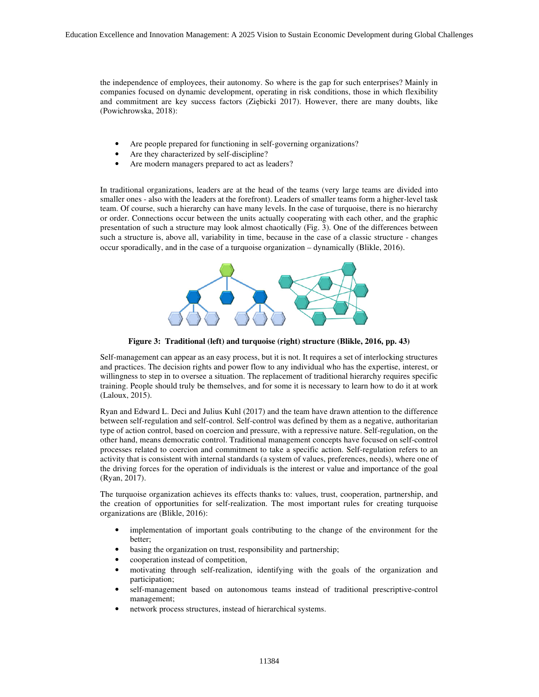the independence of employees, their autonomy. So where is the gap for such enterprises? Mainly in companies focused on dynamic development, operating in risk conditions, those in which flexibility and commitment are key success factors (Ziębicki 2017). However, there are many doubts, like (Powichrowska, 2018):

- Are people prepared for functioning in self-governing organizations?
- Are they characterized by self-discipline?
- Are modern managers prepared to act as leaders?

In traditional organizations, leaders are at the head of the teams (very large teams are divided into smaller ones - also with the leaders at the forefront). Leaders of smaller teams form a higher-level task team. Of course, such a hierarchy can have many levels. In the case of turquoise, there is no hierarchy or order. Connections occur between the units actually cooperating with each other, and the graphic presentation of such a structure may look almost chaotically (Fig. 3). One of the differences between such a structure is, above all, variability in time, because in the case of a classic structure - changes occur sporadically, and in the case of a turquoise organization – dynamically (Blikle, 2016).



**Figure 3: Traditional (left) and turquoise (right) structure (Blikle, 2016, pp. 43)** 

Self-management can appear as an easy process, but it is not. It requires a set of interlocking structures and practices. The decision rights and power flow to any individual who has the expertise, interest, or willingness to step in to oversee a situation. The replacement of traditional hierarchy requires specific training. People should truly be themselves, and for some it is necessary to learn how to do it at work (Laloux, 2015).

Ryan and Edward L. Deci and Julius Kuhl (2017) and the team have drawn attention to the difference between self-regulation and self-control. Self-control was defined by them as a negative, authoritarian type of action control, based on coercion and pressure, with a repressive nature. Self-regulation, on the other hand, means democratic control. Traditional management concepts have focused on self-control processes related to coercion and commitment to take a specific action. Self-regulation refers to an activity that is consistent with internal standards (a system of values, preferences, needs), where one of the driving forces for the operation of individuals is the interest or value and importance of the goal (Ryan, 2017).

The turquoise organization achieves its effects thanks to: values, trust, cooperation, partnership, and the creation of opportunities for self-realization. The most important rules for creating turquoise organizations are (Blikle, 2016):

- implementation of important goals contributing to the change of the environment for the better;
- basing the organization on trust, responsibility and partnership;
- cooperation instead of competition,
- motivating through self-realization, identifying with the goals of the organization and participation;
- self-management based on autonomous teams instead of traditional prescriptive-control management;
- network process structures, instead of hierarchical systems.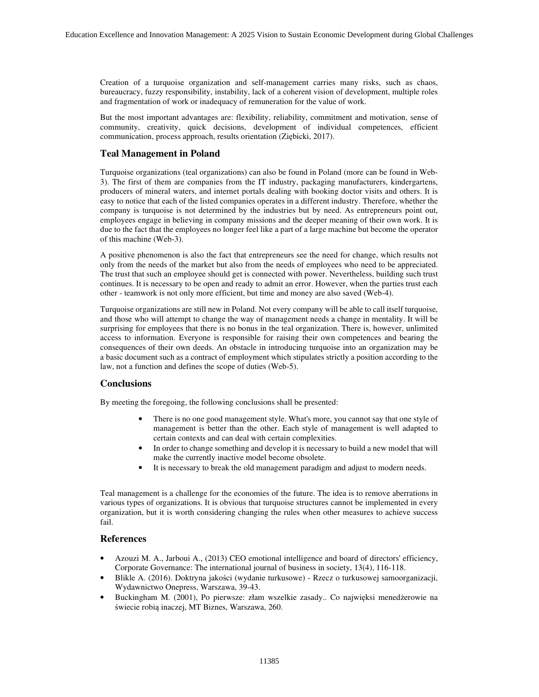Creation of a turquoise organization and self-management carries many risks, such as chaos, bureaucracy, fuzzy responsibility, instability, lack of a coherent vision of development, multiple roles and fragmentation of work or inadequacy of remuneration for the value of work.

But the most important advantages are: flexibility, reliability, commitment and motivation, sense of community, creativity, quick decisions, development of individual competences, efficient communication, process approach, results orientation (Ziębicki, 2017).

#### **Teal Management in Poland**

Turquoise organizations (teal organizations) can also be found in Poland (more can be found in Web-3). The first of them are companies from the IT industry, packaging manufacturers, kindergartens, producers of mineral waters, and internet portals dealing with booking doctor visits and others. It is easy to notice that each of the listed companies operates in a different industry. Therefore, whether the company is turquoise is not determined by the industries but by need. As entrepreneurs point out, employees engage in believing in company missions and the deeper meaning of their own work. It is due to the fact that the employees no longer feel like a part of a large machine but become the operator of this machine (Web-3).

A positive phenomenon is also the fact that entrepreneurs see the need for change, which results not only from the needs of the market but also from the needs of employees who need to be appreciated. The trust that such an employee should get is connected with power. Nevertheless, building such trust continues. It is necessary to be open and ready to admit an error. However, when the parties trust each other - teamwork is not only more efficient, but time and money are also saved (Web-4).

Turquoise organizations are still new in Poland. Not every company will be able to call itself turquoise, and those who will attempt to change the way of management needs a change in mentality. It will be surprising for employees that there is no bonus in the teal organization. There is, however, unlimited access to information. Everyone is responsible for raising their own competences and bearing the consequences of their own deeds. An obstacle in introducing turquoise into an organization may be a basic document such as a contract of employment which stipulates strictly a position according to the law, not a function and defines the scope of duties (Web-5).

#### **Conclusions**

By meeting the foregoing, the following conclusions shall be presented:

- There is no one good management style. What's more, you cannot say that one style of management is better than the other. Each style of management is well adapted to certain contexts and can deal with certain complexities.
- In order to change something and develop it is necessary to build a new model that will make the currently inactive model become obsolete.
- It is necessary to break the old management paradigm and adjust to modern needs.

Teal management is a challenge for the economies of the future. The idea is to remove aberrations in various types of organizations. It is obvious that turquoise structures cannot be implemented in every organization, but it is worth considering changing the rules when other measures to achieve success fail.

#### **References**

- Azouzi M. A., Jarboui A., (2013) CEO emotional intelligence and board of directors' efficiency, Corporate Governance: The international journal of business in society, 13(4), 116-118.
- Blikle A. (2016). Doktryna jakości (wydanie turkusowe) Rzecz o turkusowej samoorganizacji, Wydawnictwo Onepress, Warszawa, 39-43.
- Buckingham M. (2001), Po pierwsze: złam wszelkie zasady.. Co najwięksi menedżerowie na świecie robią inaczej, MT Biznes, Warszawa, 260.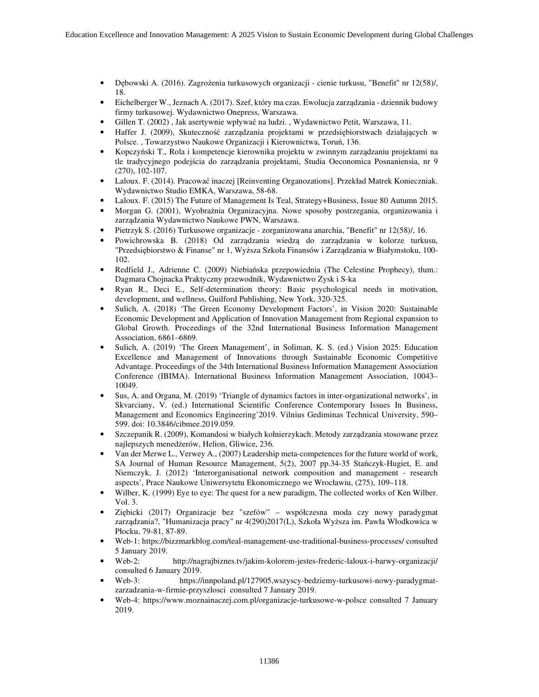- Dębowski A. (2016). Zagrożenia turkusowych organizacji cienie turkusu, "Benefit" nr 12(58)/, 18.
- Eichelberger W., Jeznach A. (2017). Szef, który ma czas. Ewolucja zarządzania dziennik budowy firmy turkusowej. Wydawnictwo Onepress, Warszawa.
- Gillen T. (2002) , Jak asertywnie wpływać na ludzi. , Wydawnictwo Petit, Warszawa, 11.
- Haffer J. (2009), Skuteczność zarządzania projektami w przedsiębiorstwach działających w Polsce. , Towarzystwo Naukowe Organizacji i Kierownictwa, Toruń, 136.
- Kopczyński T., Rola i kompetencje kierownika projektu w zwinnym zarządzaniu projektami na tle tradycyjnego podejścia do zarządzania projektami, Studia Oeconomica Posnaniensia, nr 9 (270), 102-107.
- Laloux. F. (2014). Pracować inaczej [Reinventing Organozations]. Przekład Matrek Konieczniak. Wydawnictwo Studio EMKA, Warszawa, 58-68.
- Laloux. F. (2015) The Future of Management Is Teal, Strategy+Business, Issue 80 Autumn 2015.
- Morgan G. (2001), Wyobraźnia Organizacyjna. Nowe sposoby postrzegania, organizowania i zarządzania Wydawnictwo Naukowe PWN, Warszawa.
- Pietrzyk S. (2016) Turkusowe organizacje zorganizowana anarchia, "Benefit" nr 12(58)/, 16.
- Powichrowska B. (2018) Od zarządzania wiedzą do zarządzania w kolorze turkusu, "Przedsiębiorstwo & Finanse" nr 1, Wyższa Szkoła Finansów i Zarządzania w Białymstoku, 100- 102.
- Redfield J., Adrienne C. (2009) Niebiańska przepowiednia (The Celestine Prophecy), tłum.: Dagmara Chojnacka Praktyczny przewodnik, Wydawnictwo Zysk i S-ka
- Ryan R., Deci E., Self-determination theory: Basic psychological needs in motivation, development, and wellness, Guilford Publishing, New York, 320-325.
- Sulich, A. (2018) 'The Green Economy Development Factors', in Vision 2020: Sustainable Economic Development and Application of Innovation Management from Regional expansion to Global Growth. Proceedings of the 32nd International Business Information Management Association, 6861–6869.
- Sulich, A. (2019) 'The Green Management', in Soliman, K. S. (ed.) Vision 2025: Education Excellence and Management of Innovations through Sustainable Economic Competitive Advantage. Proceedings of the 34th International Business Information Management Association Conference (IBIMA). International Business Information Management Association, 10043– 10049.
- Sus, A. and Organa, M. (2019) 'Triangle of dynamics factors in inter-organizational networks', in Skvarciany, V. (ed.) International Scientific Conference Contemporary Issues In Business, Management and Economics Engineering'2019. Vilnius Gediminas Technical University, 590– 599. doi: 10.3846/cibmee.2019.059.
- Szczepanik R. (2009), Komandosi w białych kołnierzykach. Metody zarządzania stosowane przez najlepszych menedżerów, Helion, Gliwice, 236.
- Van der Merwe L., Verwey A., (2007) Leadership meta-competences for the future world of work, SA Journal of Human Resource Management, 5(2), 2007 pp.34-35 Stańczyk-Hugiet, E. and Niemczyk, J. (2012) 'Interorganisational network composition and management - research aspects', Prace Naukowe Uniwersytetu Ekonomicznego we Wrocławiu, (275), 109–118.
- Wilber, K. (1999) Eye to eye: The quest for a new paradigm, The collected works of Ken Wilber. Vol. 3.
- Ziębicki (2017) Organizacje bez "szefów" współczesna moda czy nowy paradygmat zarządzania?, "Humanizacja pracy" nr 4(290)2017(L), Szkoła Wyższa im. Pawła Włodkowica w Płocku, 79-81, 87-89.
- Web-1: https://bizzmarkblog.com/teal-management-use-traditional-business-processes/ consulted 5 January 2019.
- Web-2: http://nagrajbiznes.tv/jakim-kolorem-jestes-frederic-laloux-i-barwy-organizacji/ consulted 6 January 2019.
- Web-3: https://innpoland.pl/127905,wszyscy-bedziemy-turkusowi-nowy-paradygmatzarzadzania-w-firmie-przyszlosci consulted 7 January 2019.
- Web-4: https://www.moznainaczej.com.pl/organizacje-turkusowe-w-polsce consulted 7 January 2019.